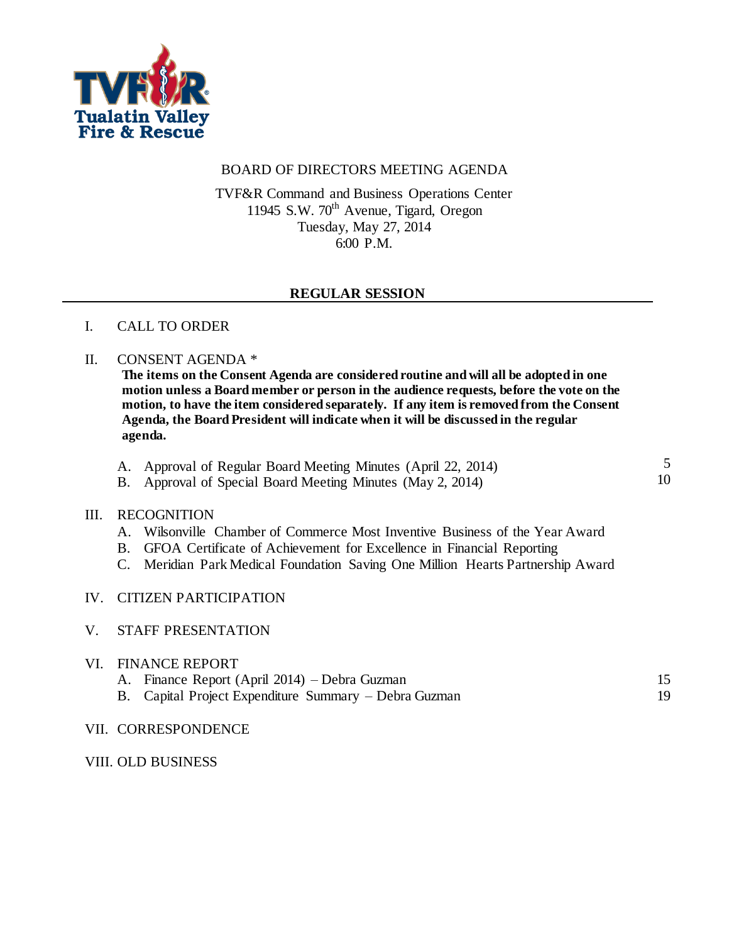

## BOARD OF DIRECTORS MEETING AGENDA

TVF&R Command and Business Operations Center 11945 S.W. 70<sup>th</sup> Avenue, Tigard, Oregon Tuesday, May 27, 2014 6:00 P.M.

## **REGULAR SESSION**

## I. CALL TO ORDER

### II. CONSENT AGENDA \*

**The items on the Consent Agenda are considered routine and will all be adopted in one motion unless a Board member or person in the audience requests, before the vote on the motion, to have the item considered separately. If any item is removed from the Consent Agenda, the Board President will indicate when it will be discussed in the regular agenda.**

- A. Approval of Regular Board Meeting Minutes (April 22, 2014) 5
- B. Approval of Special Board Meeting Minutes (May 2, 2014)

## III. RECOGNITION

- A. Wilsonville Chamber of Commerce Most Inventive Business of the Year Award
- B. GFOA Certificate of Achievement for Excellence in Financial Reporting
- C. Meridian Park Medical Foundation Saving One Million Hearts Partnership Award

### IV. CITIZEN PARTICIPATION

#### V. STAFF PRESENTATION

### VI. FINANCE REPORT

- A. Finance Report (April 2014) Debra Guzman 15 19
- B. Capital Project Expenditure Summary Debra Guzman
- VII. CORRESPONDENCE

#### VIII. OLD BUSINESS

10